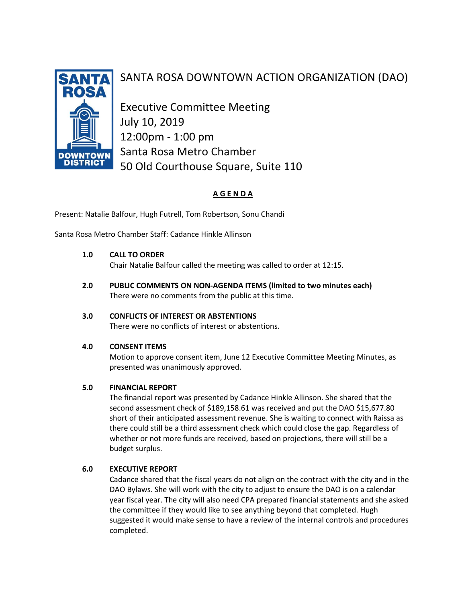

# SANTA ROSA DOWNTOWN ACTION ORGANIZATION (DAO)

Executive Committee Meeting July 10, 2019 12:00pm - 1:00 pm Santa Rosa Metro Chamber 50 Old Courthouse Square, Suite 110

# **A G E N D A**

Present: Natalie Balfour, Hugh Futrell, Tom Robertson, Sonu Chandi

Santa Rosa Metro Chamber Staff: Cadance Hinkle Allinson

# **1.0 CALL TO ORDER**

Chair Natalie Balfour called the meeting was called to order at 12:15.

**2.0 PUBLIC COMMENTS ON NON-AGENDA ITEMS (limited to two minutes each)** There were no comments from the public at this time.

# **3.0 CONFLICTS OF INTEREST OR ABSTENTIONS**

There were no conflicts of interest or abstentions.

#### **4.0 CONSENT ITEMS**

Motion to approve consent item, June 12 Executive Committee Meeting Minutes, as presented was unanimously approved.

#### **5.0 FINANCIAL REPORT**

The financial report was presented by Cadance Hinkle Allinson. She shared that the second assessment check of \$189,158.61 was received and put the DAO \$15,677.80 short of their anticipated assessment revenue. She is waiting to connect with Raissa as there could still be a third assessment check which could close the gap. Regardless of whether or not more funds are received, based on projections, there will still be a budget surplus.

# **6.0 EXECUTIVE REPORT**

Cadance shared that the fiscal years do not align on the contract with the city and in the DAO Bylaws. She will work with the city to adjust to ensure the DAO is on a calendar year fiscal year. The city will also need CPA prepared financial statements and she asked the committee if they would like to see anything beyond that completed. Hugh suggested it would make sense to have a review of the internal controls and procedures completed.